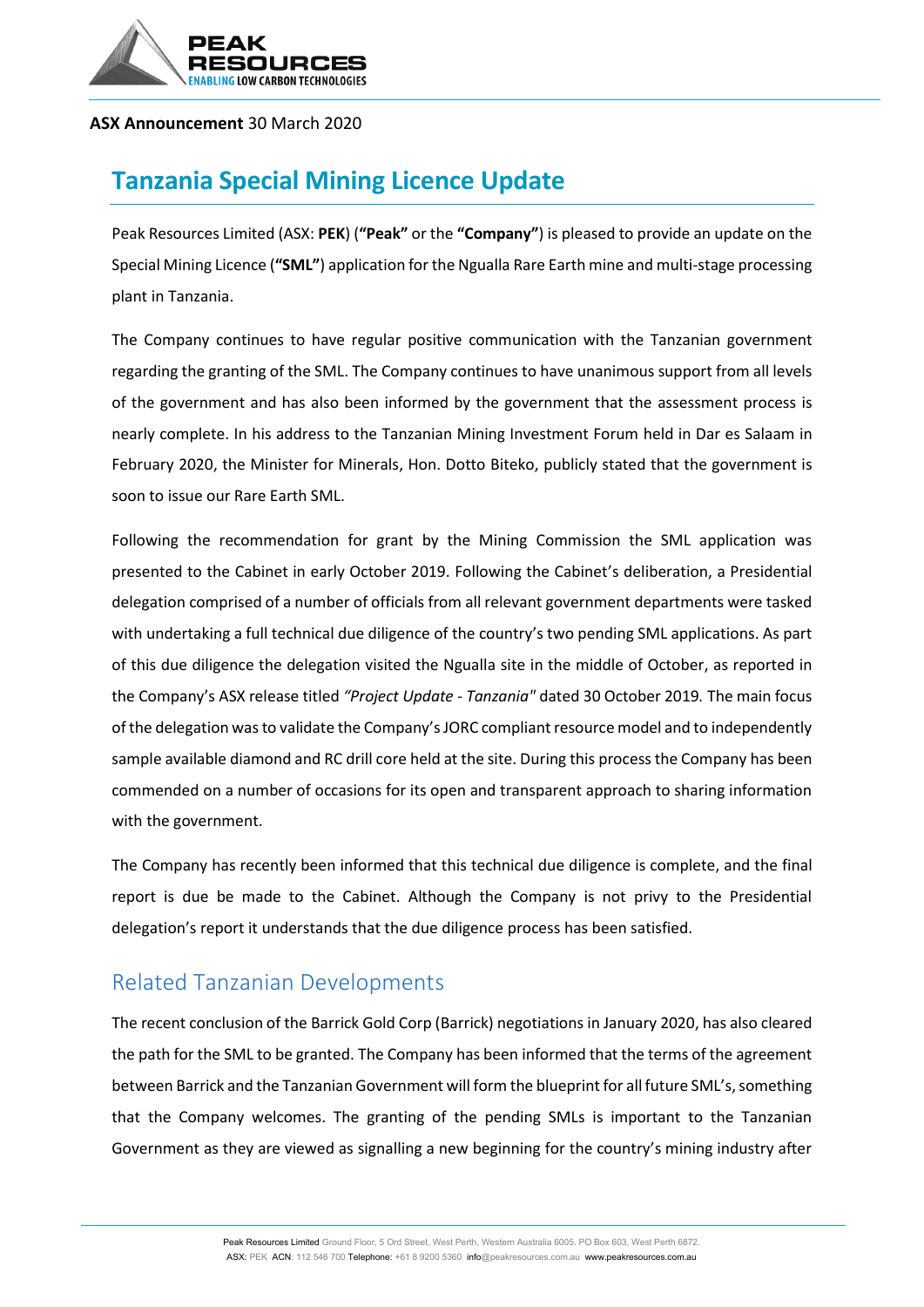

#### **ASX Announcement** 30 March 2020

# **Tanzania Special Mining Licence Update**

Peak Resources Limited (ASX: **PEK**) (**"Peak"** or the **"Company"**) is pleased to provide an update on the Special Mining Licence (**"SML"**) application for the Ngualla Rare Earth mine and multi-stage processing plant in Tanzania.

The Company continues to have regular positive communication with the Tanzanian government regarding the granting of the SML. The Company continues to have unanimous support from all levels of the government and has also been informed by the government that the assessment process is nearly complete. In his address to the Tanzanian Mining Investment Forum held in Dar es Salaam in February 2020, the Minister for Minerals, Hon. Dotto Biteko, publicly stated that the government is soon to issue our Rare Earth SML.

Following the recommendation for grant by the Mining Commission the SML application was presented to the Cabinet in early October 2019. Following the Cabinet's deliberation, a Presidential delegation comprised of a number of officials from all relevant government departments were tasked with undertaking a full technical due diligence of the country's two pending SML applications. As part of this due diligence the delegation visited the Ngualla site in the middle of October, as reported in the Company's ASX release titled *"Project Update - Tanzania"* dated 30 October 2019*.* The main focus of the delegation was to validate the Company's JORC compliant resource model and to independently sample available diamond and RC drill core held at the site. During this process the Company has been commended on a number of occasions for its open and transparent approach to sharing information with the government.

The Company has recently been informed that this technical due diligence is complete, and the final report is due be made to the Cabinet. Although the Company is not privy to the Presidential delegation's report it understands that the due diligence process has been satisfied.

## Related Tanzanian Developments

The recent conclusion of the Barrick Gold Corp (Barrick) negotiations in January 2020, has also cleared the path for the SML to be granted. The Company has been informed that the terms of the agreement between Barrick and the Tanzanian Government will form the blueprint for all future SML's, something that the Company welcomes. The granting of the pending SMLs is important to the Tanzanian Government as they are viewed as signalling a new beginning for the country's mining industry after